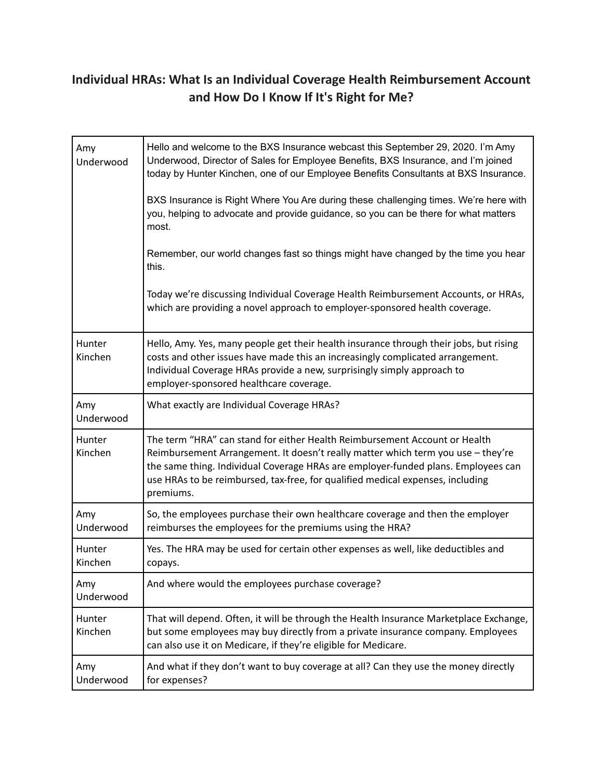## **Individual HRAs: What Is an Individual Coverage Health Reimbursement Account and How Do I Know If It's Right for Me?**

| Amy<br>Underwood  | Hello and welcome to the BXS Insurance webcast this September 29, 2020. I'm Amy<br>Underwood, Director of Sales for Employee Benefits, BXS Insurance, and I'm joined<br>today by Hunter Kinchen, one of our Employee Benefits Consultants at BXS Insurance.                                                                                        |
|-------------------|----------------------------------------------------------------------------------------------------------------------------------------------------------------------------------------------------------------------------------------------------------------------------------------------------------------------------------------------------|
|                   | BXS Insurance is Right Where You Are during these challenging times. We're here with<br>you, helping to advocate and provide guidance, so you can be there for what matters<br>most.                                                                                                                                                               |
|                   | Remember, our world changes fast so things might have changed by the time you hear<br>this.                                                                                                                                                                                                                                                        |
|                   | Today we're discussing Individual Coverage Health Reimbursement Accounts, or HRAs,<br>which are providing a novel approach to employer-sponsored health coverage.                                                                                                                                                                                  |
| Hunter<br>Kinchen | Hello, Amy. Yes, many people get their health insurance through their jobs, but rising<br>costs and other issues have made this an increasingly complicated arrangement.<br>Individual Coverage HRAs provide a new, surprisingly simply approach to<br>employer-sponsored healthcare coverage.                                                     |
| Amy<br>Underwood  | What exactly are Individual Coverage HRAs?                                                                                                                                                                                                                                                                                                         |
| Hunter<br>Kinchen | The term "HRA" can stand for either Health Reimbursement Account or Health<br>Reimbursement Arrangement. It doesn't really matter which term you use - they're<br>the same thing. Individual Coverage HRAs are employer-funded plans. Employees can<br>use HRAs to be reimbursed, tax-free, for qualified medical expenses, including<br>premiums. |
| Amy<br>Underwood  | So, the employees purchase their own healthcare coverage and then the employer<br>reimburses the employees for the premiums using the HRA?                                                                                                                                                                                                         |
| Hunter<br>Kinchen | Yes. The HRA may be used for certain other expenses as well, like deductibles and<br>copays.                                                                                                                                                                                                                                                       |
| Amy<br>Underwood  | And where would the employees purchase coverage?                                                                                                                                                                                                                                                                                                   |
| Hunter<br>Kinchen | That will depend. Often, it will be through the Health Insurance Marketplace Exchange,<br>but some employees may buy directly from a private insurance company. Employees<br>can also use it on Medicare, if they're eligible for Medicare.                                                                                                        |
| Amy<br>Underwood  | And what if they don't want to buy coverage at all? Can they use the money directly<br>for expenses?                                                                                                                                                                                                                                               |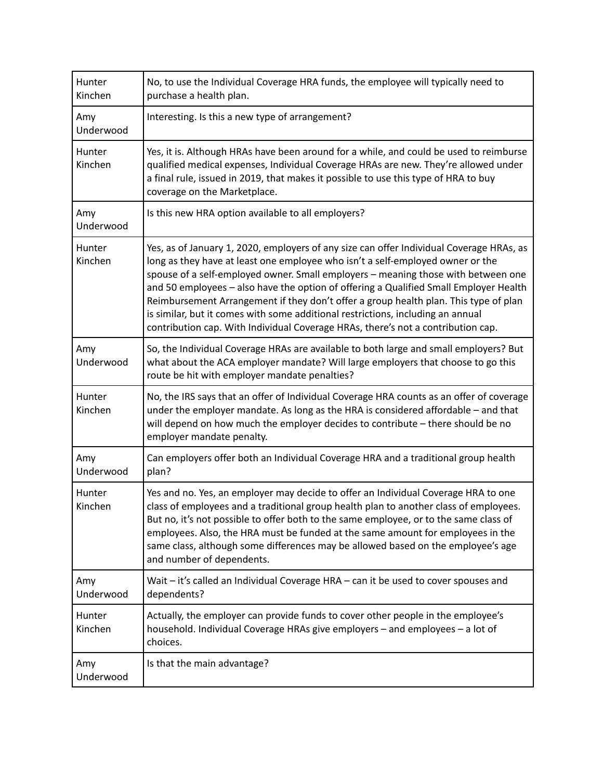| Hunter<br>Kinchen | No, to use the Individual Coverage HRA funds, the employee will typically need to<br>purchase a health plan.                                                                                                                                                                                                                                                                                                                                                                                                                                                                                                            |
|-------------------|-------------------------------------------------------------------------------------------------------------------------------------------------------------------------------------------------------------------------------------------------------------------------------------------------------------------------------------------------------------------------------------------------------------------------------------------------------------------------------------------------------------------------------------------------------------------------------------------------------------------------|
| Amy<br>Underwood  | Interesting. Is this a new type of arrangement?                                                                                                                                                                                                                                                                                                                                                                                                                                                                                                                                                                         |
| Hunter<br>Kinchen | Yes, it is. Although HRAs have been around for a while, and could be used to reimburse<br>qualified medical expenses, Individual Coverage HRAs are new. They're allowed under<br>a final rule, issued in 2019, that makes it possible to use this type of HRA to buy<br>coverage on the Marketplace.                                                                                                                                                                                                                                                                                                                    |
| Amy<br>Underwood  | Is this new HRA option available to all employers?                                                                                                                                                                                                                                                                                                                                                                                                                                                                                                                                                                      |
| Hunter<br>Kinchen | Yes, as of January 1, 2020, employers of any size can offer Individual Coverage HRAs, as<br>long as they have at least one employee who isn't a self-employed owner or the<br>spouse of a self-employed owner. Small employers - meaning those with between one<br>and 50 employees - also have the option of offering a Qualified Small Employer Health<br>Reimbursement Arrangement if they don't offer a group health plan. This type of plan<br>is similar, but it comes with some additional restrictions, including an annual<br>contribution cap. With Individual Coverage HRAs, there's not a contribution cap. |
| Amy<br>Underwood  | So, the Individual Coverage HRAs are available to both large and small employers? But<br>what about the ACA employer mandate? Will large employers that choose to go this<br>route be hit with employer mandate penalties?                                                                                                                                                                                                                                                                                                                                                                                              |
| Hunter<br>Kinchen | No, the IRS says that an offer of Individual Coverage HRA counts as an offer of coverage<br>under the employer mandate. As long as the HRA is considered affordable - and that<br>will depend on how much the employer decides to contribute - there should be no<br>employer mandate penalty.                                                                                                                                                                                                                                                                                                                          |
| Amy<br>Underwood  | Can employers offer both an Individual Coverage HRA and a traditional group health<br>plan?                                                                                                                                                                                                                                                                                                                                                                                                                                                                                                                             |
| Hunter<br>Kinchen | Yes and no. Yes, an employer may decide to offer an Individual Coverage HRA to one<br>class of employees and a traditional group health plan to another class of employees.<br>But no, it's not possible to offer both to the same employee, or to the same class of<br>employees. Also, the HRA must be funded at the same amount for employees in the<br>same class, although some differences may be allowed based on the employee's age<br>and number of dependents.                                                                                                                                                |
| Amy<br>Underwood  | Wait - it's called an Individual Coverage HRA - can it be used to cover spouses and<br>dependents?                                                                                                                                                                                                                                                                                                                                                                                                                                                                                                                      |
| Hunter<br>Kinchen | Actually, the employer can provide funds to cover other people in the employee's<br>household. Individual Coverage HRAs give employers - and employees - a lot of<br>choices.                                                                                                                                                                                                                                                                                                                                                                                                                                           |
| Amy<br>Underwood  | Is that the main advantage?                                                                                                                                                                                                                                                                                                                                                                                                                                                                                                                                                                                             |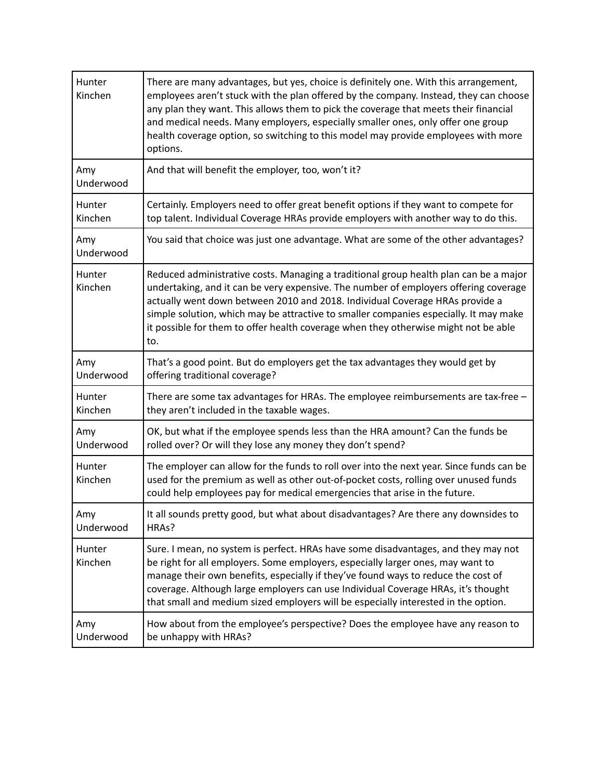| Hunter<br>Kinchen | There are many advantages, but yes, choice is definitely one. With this arrangement,<br>employees aren't stuck with the plan offered by the company. Instead, they can choose<br>any plan they want. This allows them to pick the coverage that meets their financial<br>and medical needs. Many employers, especially smaller ones, only offer one group<br>health coverage option, so switching to this model may provide employees with more<br>options. |
|-------------------|-------------------------------------------------------------------------------------------------------------------------------------------------------------------------------------------------------------------------------------------------------------------------------------------------------------------------------------------------------------------------------------------------------------------------------------------------------------|
| Amy<br>Underwood  | And that will benefit the employer, too, won't it?                                                                                                                                                                                                                                                                                                                                                                                                          |
| Hunter            | Certainly. Employers need to offer great benefit options if they want to compete for                                                                                                                                                                                                                                                                                                                                                                        |
| Kinchen           | top talent. Individual Coverage HRAs provide employers with another way to do this.                                                                                                                                                                                                                                                                                                                                                                         |
| Amy<br>Underwood  | You said that choice was just one advantage. What are some of the other advantages?                                                                                                                                                                                                                                                                                                                                                                         |
| Hunter<br>Kinchen | Reduced administrative costs. Managing a traditional group health plan can be a major<br>undertaking, and it can be very expensive. The number of employers offering coverage<br>actually went down between 2010 and 2018. Individual Coverage HRAs provide a<br>simple solution, which may be attractive to smaller companies especially. It may make<br>it possible for them to offer health coverage when they otherwise might not be able<br>to.        |
| Amy               | That's a good point. But do employers get the tax advantages they would get by                                                                                                                                                                                                                                                                                                                                                                              |
| Underwood         | offering traditional coverage?                                                                                                                                                                                                                                                                                                                                                                                                                              |
| <b>Hunter</b>     | There are some tax advantages for HRAs. The employee reimbursements are tax-free -                                                                                                                                                                                                                                                                                                                                                                          |
| Kinchen           | they aren't included in the taxable wages.                                                                                                                                                                                                                                                                                                                                                                                                                  |
| Amy               | OK, but what if the employee spends less than the HRA amount? Can the funds be                                                                                                                                                                                                                                                                                                                                                                              |
| Underwood         | rolled over? Or will they lose any money they don't spend?                                                                                                                                                                                                                                                                                                                                                                                                  |
| Hunter<br>Kinchen | The employer can allow for the funds to roll over into the next year. Since funds can be<br>used for the premium as well as other out-of-pocket costs, rolling over unused funds<br>could help employees pay for medical emergencies that arise in the future.                                                                                                                                                                                              |
| Amy               | It all sounds pretty good, but what about disadvantages? Are there any downsides to                                                                                                                                                                                                                                                                                                                                                                         |
| Underwood         | HRAs?                                                                                                                                                                                                                                                                                                                                                                                                                                                       |
| Hunter<br>Kinchen | Sure. I mean, no system is perfect. HRAs have some disadvantages, and they may not<br>be right for all employers. Some employers, especially larger ones, may want to<br>manage their own benefits, especially if they've found ways to reduce the cost of<br>coverage. Although large employers can use Individual Coverage HRAs, it's thought<br>that small and medium sized employers will be especially interested in the option.                       |
| Amy               | How about from the employee's perspective? Does the employee have any reason to                                                                                                                                                                                                                                                                                                                                                                             |
| Underwood         | be unhappy with HRAs?                                                                                                                                                                                                                                                                                                                                                                                                                                       |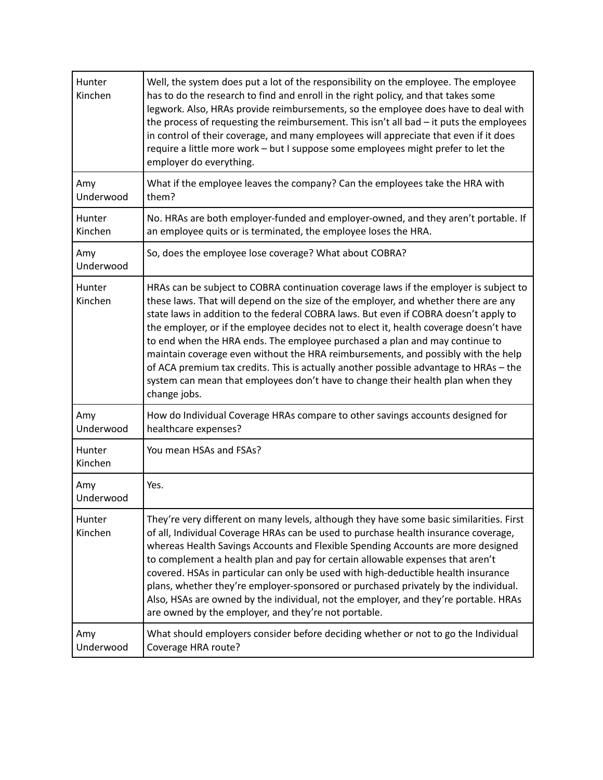| Hunter<br>Kinchen | Well, the system does put a lot of the responsibility on the employee. The employee<br>has to do the research to find and enroll in the right policy, and that takes some<br>legwork. Also, HRAs provide reimbursements, so the employee does have to deal with<br>the process of requesting the reimbursement. This isn't all bad - it puts the employees<br>in control of their coverage, and many employees will appreciate that even if it does<br>require a little more work - but I suppose some employees might prefer to let the<br>employer do everything.                                                                                                                                                            |
|-------------------|--------------------------------------------------------------------------------------------------------------------------------------------------------------------------------------------------------------------------------------------------------------------------------------------------------------------------------------------------------------------------------------------------------------------------------------------------------------------------------------------------------------------------------------------------------------------------------------------------------------------------------------------------------------------------------------------------------------------------------|
| Amy<br>Underwood  | What if the employee leaves the company? Can the employees take the HRA with<br>them?                                                                                                                                                                                                                                                                                                                                                                                                                                                                                                                                                                                                                                          |
| Hunter<br>Kinchen | No. HRAs are both employer-funded and employer-owned, and they aren't portable. If<br>an employee quits or is terminated, the employee loses the HRA.                                                                                                                                                                                                                                                                                                                                                                                                                                                                                                                                                                          |
| Amy<br>Underwood  | So, does the employee lose coverage? What about COBRA?                                                                                                                                                                                                                                                                                                                                                                                                                                                                                                                                                                                                                                                                         |
| Hunter<br>Kinchen | HRAs can be subject to COBRA continuation coverage laws if the employer is subject to<br>these laws. That will depend on the size of the employer, and whether there are any<br>state laws in addition to the federal COBRA laws. But even if COBRA doesn't apply to<br>the employer, or if the employee decides not to elect it, health coverage doesn't have<br>to end when the HRA ends. The employee purchased a plan and may continue to<br>maintain coverage even without the HRA reimbursements, and possibly with the help<br>of ACA premium tax credits. This is actually another possible advantage to HRAs - the<br>system can mean that employees don't have to change their health plan when they<br>change jobs. |
| Amy<br>Underwood  | How do Individual Coverage HRAs compare to other savings accounts designed for<br>healthcare expenses?                                                                                                                                                                                                                                                                                                                                                                                                                                                                                                                                                                                                                         |
| Hunter<br>Kinchen | You mean HSAs and FSAs?                                                                                                                                                                                                                                                                                                                                                                                                                                                                                                                                                                                                                                                                                                        |
| Amy<br>Underwood  | Yes.                                                                                                                                                                                                                                                                                                                                                                                                                                                                                                                                                                                                                                                                                                                           |
| Hunter<br>Kinchen | They're very different on many levels, although they have some basic similarities. First<br>of all, Individual Coverage HRAs can be used to purchase health insurance coverage,<br>whereas Health Savings Accounts and Flexible Spending Accounts are more designed<br>to complement a health plan and pay for certain allowable expenses that aren't<br>covered. HSAs in particular can only be used with high-deductible health insurance<br>plans, whether they're employer-sponsored or purchased privately by the individual.<br>Also, HSAs are owned by the individual, not the employer, and they're portable. HRAs<br>are owned by the employer, and they're not portable.                                             |
| Amy<br>Underwood  | What should employers consider before deciding whether or not to go the Individual<br>Coverage HRA route?                                                                                                                                                                                                                                                                                                                                                                                                                                                                                                                                                                                                                      |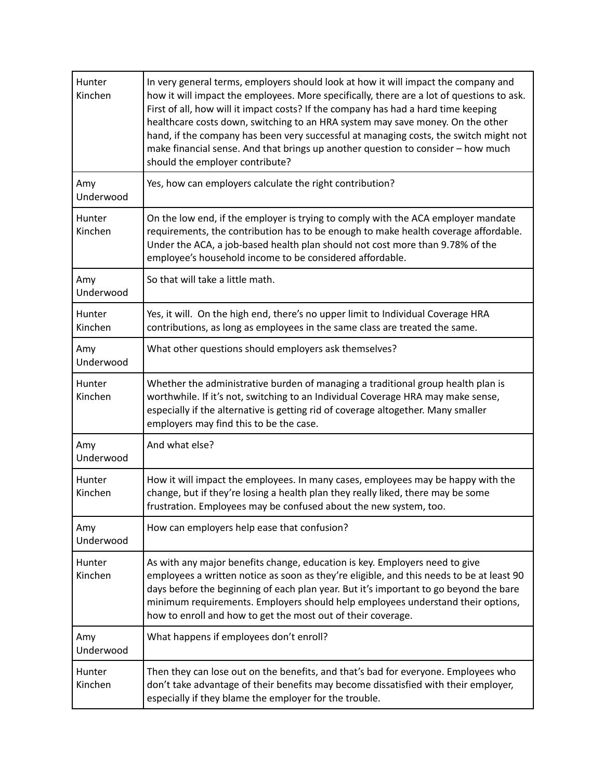| Hunter<br>Kinchen        | In very general terms, employers should look at how it will impact the company and<br>how it will impact the employees. More specifically, there are a lot of questions to ask.<br>First of all, how will it impact costs? If the company has had a hard time keeping<br>healthcare costs down, switching to an HRA system may save money. On the other<br>hand, if the company has been very successful at managing costs, the switch might not<br>make financial sense. And that brings up another question to consider - how much<br>should the employer contribute? |
|--------------------------|-------------------------------------------------------------------------------------------------------------------------------------------------------------------------------------------------------------------------------------------------------------------------------------------------------------------------------------------------------------------------------------------------------------------------------------------------------------------------------------------------------------------------------------------------------------------------|
| Amy<br>Underwood         | Yes, how can employers calculate the right contribution?                                                                                                                                                                                                                                                                                                                                                                                                                                                                                                                |
| Hunter<br>Kinchen        | On the low end, if the employer is trying to comply with the ACA employer mandate<br>requirements, the contribution has to be enough to make health coverage affordable.<br>Under the ACA, a job-based health plan should not cost more than 9.78% of the<br>employee's household income to be considered affordable.                                                                                                                                                                                                                                                   |
| Amy<br>Underwood         | So that will take a little math.                                                                                                                                                                                                                                                                                                                                                                                                                                                                                                                                        |
| Hunter<br>Kinchen        | Yes, it will. On the high end, there's no upper limit to Individual Coverage HRA<br>contributions, as long as employees in the same class are treated the same.                                                                                                                                                                                                                                                                                                                                                                                                         |
| Amy<br>Underwood         | What other questions should employers ask themselves?                                                                                                                                                                                                                                                                                                                                                                                                                                                                                                                   |
| Hunter<br>Kinchen        | Whether the administrative burden of managing a traditional group health plan is<br>worthwhile. If it's not, switching to an Individual Coverage HRA may make sense,<br>especially if the alternative is getting rid of coverage altogether. Many smaller<br>employers may find this to be the case.                                                                                                                                                                                                                                                                    |
| Amy<br>Underwood         | And what else?                                                                                                                                                                                                                                                                                                                                                                                                                                                                                                                                                          |
| Hunter<br>Kinchen        | How it will impact the employees. In many cases, employees may be happy with the<br>change, but if they're losing a health plan they really liked, there may be some<br>frustration. Employees may be confused about the new system, too.                                                                                                                                                                                                                                                                                                                               |
| Amy<br>Underwood         | How can employers help ease that confusion?                                                                                                                                                                                                                                                                                                                                                                                                                                                                                                                             |
| <b>Hunter</b><br>Kinchen | As with any major benefits change, education is key. Employers need to give<br>employees a written notice as soon as they're eligible, and this needs to be at least 90<br>days before the beginning of each plan year. But it's important to go beyond the bare<br>minimum requirements. Employers should help employees understand their options,<br>how to enroll and how to get the most out of their coverage.                                                                                                                                                     |
| Amy<br>Underwood         | What happens if employees don't enroll?                                                                                                                                                                                                                                                                                                                                                                                                                                                                                                                                 |
| Hunter<br>Kinchen        | Then they can lose out on the benefits, and that's bad for everyone. Employees who<br>don't take advantage of their benefits may become dissatisfied with their employer,<br>especially if they blame the employer for the trouble.                                                                                                                                                                                                                                                                                                                                     |